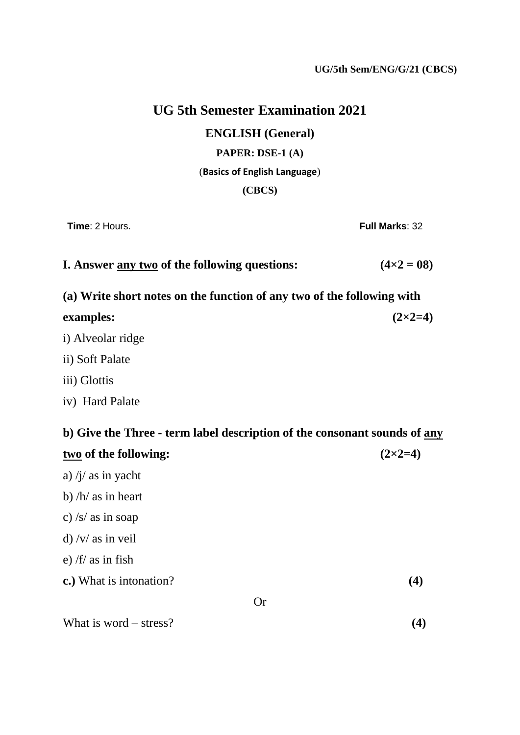## **UG 5th Semester Examination 2021**

**ENGLISH (General)**

**PAPER: DSE-1 (A)**

#### (**Basics of English Language**)

#### **(CBCS)**

**Time**: 2 Hours. **Full Marks**: 32

| <b>I. Answer any two of the following questions:</b> | $(4 \times 2 = 08)$ |
|------------------------------------------------------|---------------------|
|------------------------------------------------------|---------------------|

**(a) Write short notes on the function of any two of the following with** 

| examples:                                                                 | $(2\times2=4)$ |  |
|---------------------------------------------------------------------------|----------------|--|
| i) Alveolar ridge                                                         |                |  |
| ii) Soft Palate                                                           |                |  |
| iii) Glottis                                                              |                |  |
| iv) Hard Palate                                                           |                |  |
| b) Give the Three - term label description of the consonant sounds of any |                |  |
| two of the following:                                                     | $(2\times2=4)$ |  |
| a) $/j/$ as in yacht                                                      |                |  |
| b) $/h/$ as in heart                                                      |                |  |
| c) /s/ as in soap                                                         |                |  |
| d) /v/ as in veil                                                         |                |  |
| e) /f/ as in fish                                                         |                |  |
| c.) What is intonation?                                                   | (4)            |  |

Or

What is word – stress?  $(4)$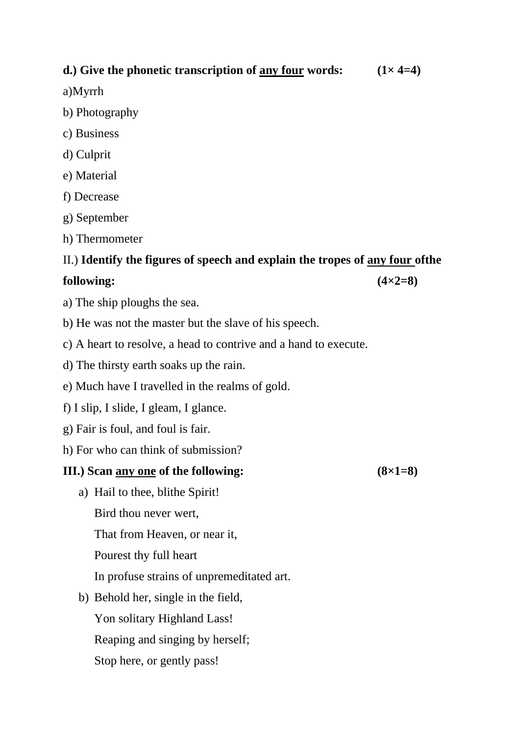### **d.**) Give the phonetic transcription of any four words:  $(1 \times 4=4)$

a)Myrrh

- b) Photography
- c) Business
- d) Culprit
- e) Material
- f) Decrease
- g) September
- h) Thermometer

#### II.) **Identify the figures of speech and explain the tropes of any four ofthe**

#### $f_{0}$ **following:**  $(4 \times 2=8)$

- a) The ship ploughs the sea.
- b) He was not the master but the slave of his speech.
- c) A heart to resolve, a head to contrive and a hand to execute.
- d) The thirsty earth soaks up the rain.
- e) Much have I travelled in the realms of gold.
- f) I slip, I slide, I gleam, I glance.
- g) Fair is foul, and foul is fair.
- h) For who can think of submission?

#### **III.) Scan any one of the following: (8×1=8)**

a) Hail to thee, blithe Spirit! Bird thou never wert, That from Heaven, or near it,

Pourest thy full heart

In profuse strains of unpremeditated art.

b) Behold her, single in the field, Yon solitary Highland Lass! Reaping and singing by herself; Stop here, or gently pass!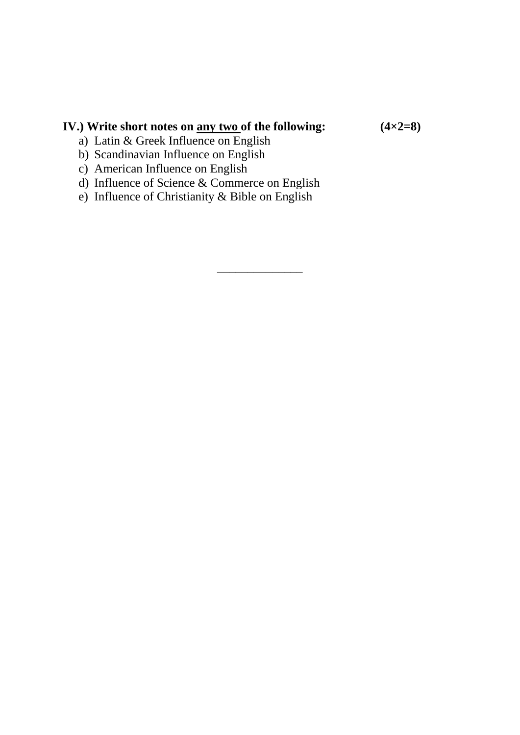# **IV.)** Write short notes on <u>any two</u> of the following:  $(4 \times 2=8)$

a) Latin & Greek Influence on English

- b) Scandinavian Influence on English
- c) American Influence on English
- d) Influence of Science & Commerce on English

\_\_\_\_\_\_\_\_\_\_\_\_\_\_

e) Influence of Christianity & Bible on English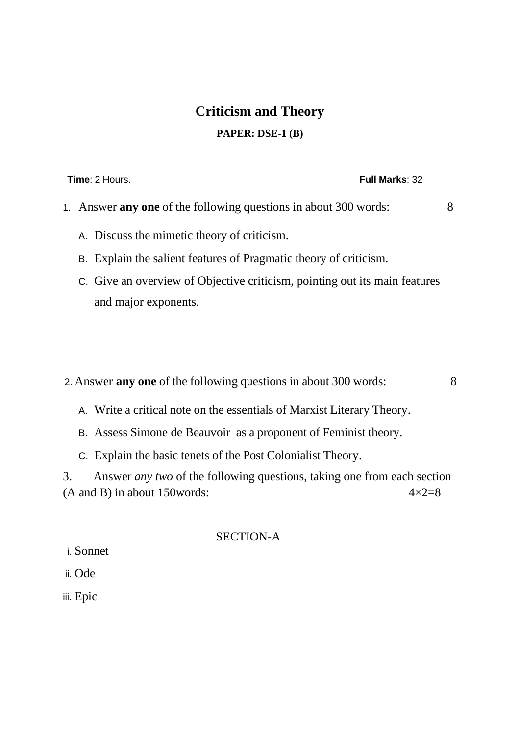# **Criticism and Theory PAPER: DSE-1 (B)**

**Time**: 2 Hours. **Full Marks**: 32

- 1. Answer **any one** of the following questions in about 300 words: 8
	- A. Discuss the mimetic theory of criticism.
	- B. Explain the salient features of Pragmatic theory of criticism.
	- C. Give an overview of Objective criticism, pointing out its main features and major exponents.

2. Answer **any one** of the following questions in about 300 words: 8

- A. Write a critical note on the essentials of Marxist Literary Theory.
- B. Assess Simone de Beauvoir as a proponent of Feminist theory.
- C. Explain the basic tenets of the Post Colonialist Theory.

3. Answer *any two* of the following questions, taking one from each section (A and B) in about 150 words:  $4 \times 2 = 8$ 

#### SECTION-A

i. Sonnet

ii. Ode

iii. Epic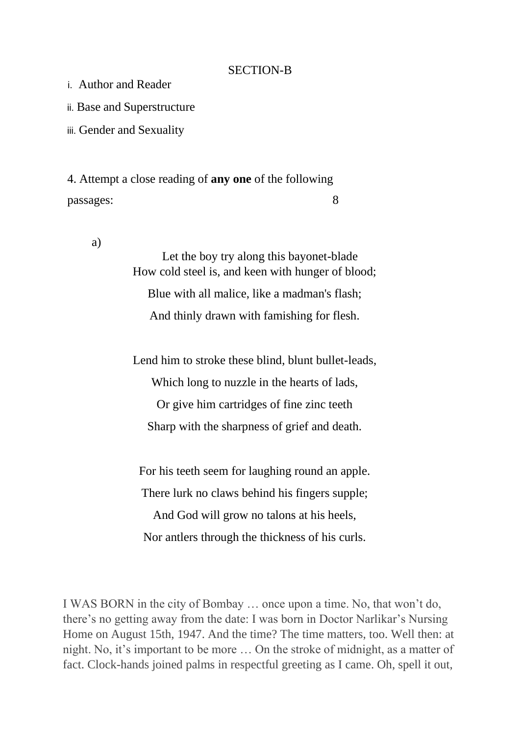#### SECTION-B

i. Author and Reader

ii. Base and Superstructure

iii. Gender and Sexuality

4. Attempt a close reading of **any one** of the following passages: 8

a)

Let the boy try along this bayonet-blade How cold steel is, and keen with hunger of blood; Blue with all malice, like a madman's flash; And thinly drawn with famishing for flesh.

Lend him to stroke these blind, blunt bullet-leads, Which long to nuzzle in the hearts of lads, Or give him cartridges of fine zinc teeth Sharp with the sharpness of grief and death.

For his teeth seem for laughing round an apple.

There lurk no claws behind his fingers supple;

And God will grow no talons at his heels, Nor antlers through the thickness of his curls.

I WAS BORN in the city of Bombay … once upon a time. No, that won't do, there's no getting away from the date: I was born in Doctor Narlikar's Nursing Home on August 15th, 1947. And the time? The time matters, too. Well then: at night. No, it's important to be more … On the stroke of midnight, as a matter of fact. Clock-hands joined palms in respectful greeting as I came. Oh, spell it out,